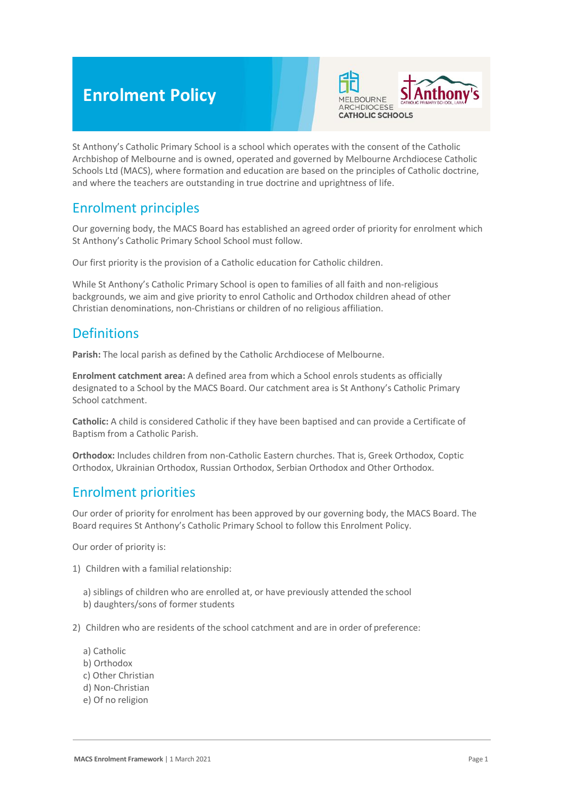# **Enrolment Policy**



St Anthony's Catholic Primary School is a school which operates with the consent of the Catholic Archbishop of Melbourne and is owned, operated and governed by Melbourne Archdiocese Catholic Schools Ltd (MACS), where formation and education are based on the principles of Catholic doctrine, and where the teachers are outstanding in true doctrine and uprightness of life.

## Enrolment principles

Our governing body, the MACS Board has established an agreed order of priority for enrolment which St Anthony's Catholic Primary School School must follow.

Our first priority is the provision of a Catholic education for Catholic children.

While St Anthony's Catholic Primary School is open to families of all faith and non-religious backgrounds, we aim and give priority to enrol Catholic and Orthodox children ahead of other Christian denominations, non-Christians or children of no religious affiliation.

## **Definitions**

**Parish:** The local parish as defined by the Catholic Archdiocese of Melbourne.

**Enrolment catchment area:** A defined area from which a School enrols students as officially designated to a School by the MACS Board. Our catchment area is St Anthony's Catholic Primary School catchment.

**Catholic:** A child is considered Catholic if they have been baptised and can provide a Certificate of Baptism from a Catholic Parish.

**Orthodox:** Includes children from non-Catholic Eastern churches. That is, Greek Orthodox, Coptic Orthodox, Ukrainian Orthodox, Russian Orthodox, Serbian Orthodox and Other Orthodox.

### Enrolment priorities

Our order of priority for enrolment has been approved by our governing body, the MACS Board. The Board requires St Anthony's Catholic Primary School to follow this Enrolment Policy.

Our order of priority is:

- 1) Children with a familial relationship:
	- a) siblings of children who are enrolled at, or have previously attended the school b) daughters/sons of former students
- 2) Children who are residents of the school catchment and are in order of preference:
	- a) Catholic
	- b) Orthodox
	- c) Other Christian
	- d) Non-Christian
	- e) Of no religion